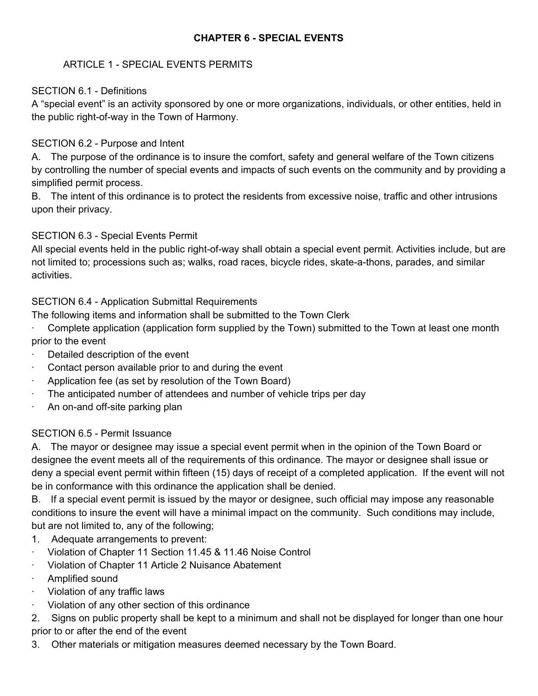### **CHAPTER 6 SPECIAL EVENTS**

### ARTICLE 1 SPECIAL EVENTS PERMITS

#### SECTION 6.1 - Definitions

A "special event" is an activity sponsored by one or more organizations, individuals, or other entities, held in the public right-of-way in the Town of Harmony.

#### SECTION 6.2 - Purpose and Intent

A. The purpose of the ordinance is to insure the comfort, safety and general welfare of the Town citizens by controlling the number of special events and impacts of such events on the community and by providing a simplified permit process.

B. The intent of this ordinance is to protect the residents from excessive noise, traffic and other intrusions upon their privacy.

## SECTION 6.3 - Special Events Permit

All special events held in the public right-of-way shall obtain a special event permit. Activities include, but are not limited to; processions such as; walks, road races, bicycle rides, skate-a-thons, parades, and similar activities.

## SECTION 6.4 - Application Submittal Requirements

The following items and information shall be submitted to the Town Clerk

- ∙ Complete application (application form supplied by the Town) submitted to the Town at least one month prior to the event
- ∙ Detailed description of the event
- ∙ Contact person available prior to and during the event
- ∙ Application fee (as set by resolution of the Town Board)
- ∙ The anticipated number of attendees and number of vehicle trips per day
- An on-and off-site parking plan

#### SECTION 6.5 - Permit Issuance

A. The mayor or designee may issue a special event permit when in the opinion of the Town Board or designee the event meets all of the requirements of this ordinance. The mayor or designee shall issue or deny a special event permit within fifteen (15) days of receipt of a completed application. If the event will not be in conformance with this ordinance the application shall be denied.

B. If a special event permit is issued by the mayor or designee, such official may impose any reasonable conditions to insure the event will have a minimal impact on the community. Such conditions may include, but are not limited to, any of the following;

- 1. Adequate arrangements to prevent:
- ∙ Violation of Chapter 11 Section 11.45 & 11.46 Noise Control
- ∙ Violation of Chapter 11 Article 2 Nuisance Abatement
- ∙ Amplified sound
- ∙ Violation of any traffic laws
- ∙ Violation of any other section of this ordinance
- 2. Signs on public property shall be kept to a minimum and shall not be displayed for longer than one hour prior to or after the end of the event
- 3. Other materials or mitigation measures deemed necessary by the Town Board.